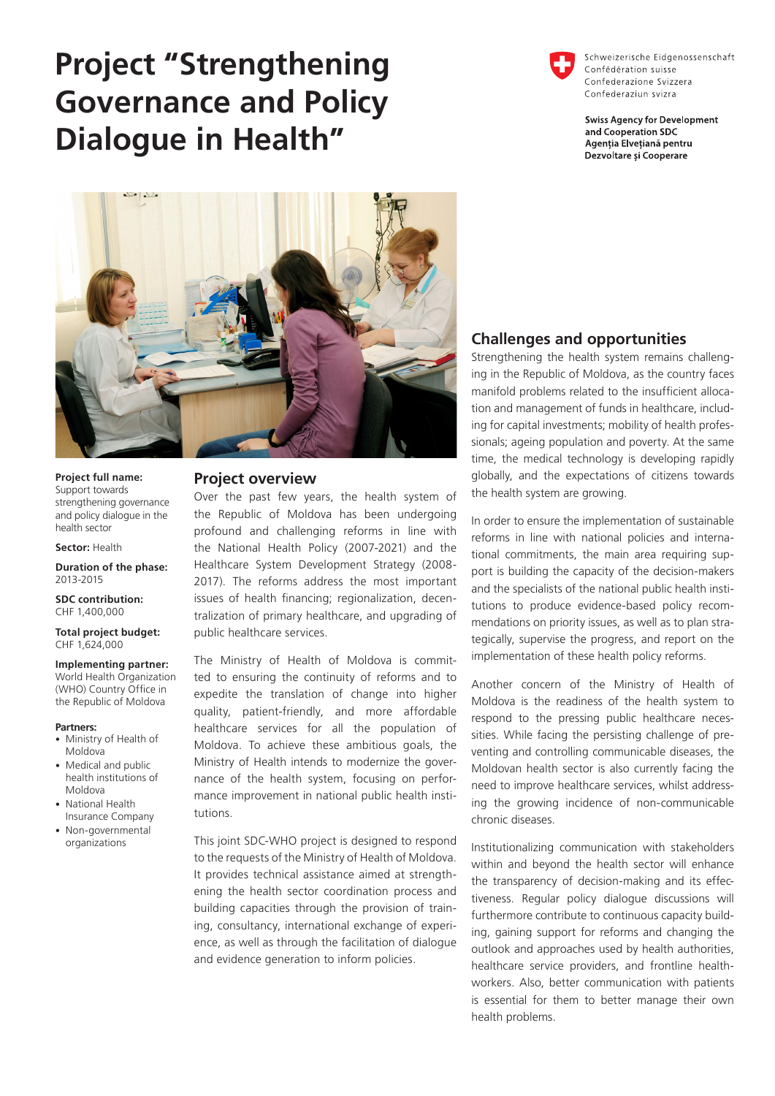# **Project "Strengthening Governance and Policy Dialogue in Health"**



Schweizerische Eidgenossenschaft Confédération suisse Confederazione Svizzera Confederaziun svizra

**Swiss Agency for Development** and Cooperation SDC Agentia Elvetiană pentru Dezvoltare și Cooperare



**Project full name:** Support towards strengthening governance and policy dialogue in the health sector

**Sector: Health** 

**Duration of the phase:**  2013-2015

**SDC contribution:** CHF 1,400,000

**Total project budget:** CHF 1,624,000

**Implementing partner:** World Health Organization (WHO) Country Office in the Republic of Moldova

**Partners:**

- Ministry of Health of Moldova
- Medical and public health institutions of Moldova
- National Health Insurance Company
- Non-governmental organizations

#### **Project overview**

Over the past few years, the health system of the Republic of Moldova has been undergoing profound and challenging reforms in line with the National Health Policy (2007-2021) and the Healthcare System Development Strategy (2008- 2017). The reforms address the most important issues of health financing; regionalization, decentralization of primary healthcare, and upgrading of public healthcare services.

The Ministry of Health of Moldova is committed to ensuring the continuity of reforms and to expedite the translation of change into higher quality, patient-friendly, and more affordable healthcare services for all the population of Moldova. To achieve these ambitious goals, the Ministry of Health intends to modernize the governance of the health system, focusing on performance improvement in national public health institutions.

This joint SDC-WHO project is designed to respond to the requests of the Ministry of Health of Moldova. It provides technical assistance aimed at strengthening the health sector coordination process and building capacities through the provision of training, consultancy, international exchange of experience, as well as through the facilitation of dialogue and evidence generation to inform policies.

# **Challenges and opportunities**

Strengthening the health system remains challenging in the Republic of Moldova, as the country faces manifold problems related to the insufficient allocation and management of funds in healthcare, including for capital investments; mobility of health professionals; ageing population and poverty. At the same time, the medical technology is developing rapidly globally, and the expectations of citizens towards the health system are growing.

In order to ensure the implementation of sustainable reforms in line with national policies and international commitments, the main area requiring support is building the capacity of the decision-makers and the specialists of the national public health institutions to produce evidence-based policy recommendations on priority issues, as well as to plan strategically, supervise the progress, and report on the implementation of these health policy reforms.

Another concern of the Ministry of Health of Moldova is the readiness of the health system to respond to the pressing public healthcare necessities. While facing the persisting challenge of preventing and controlling communicable diseases, the Moldovan health sector is also currently facing the need to improve healthcare services, whilst addressing the growing incidence of non-communicable chronic diseases.

Institutionalizing communication with stakeholders within and beyond the health sector will enhance the transparency of decision-making and its effectiveness. Regular policy dialogue discussions will furthermore contribute to continuous capacity building, gaining support for reforms and changing the outlook and approaches used by health authorities, healthcare service providers, and frontline healthworkers. Also, better communication with patients is essential for them to better manage their own health problems.